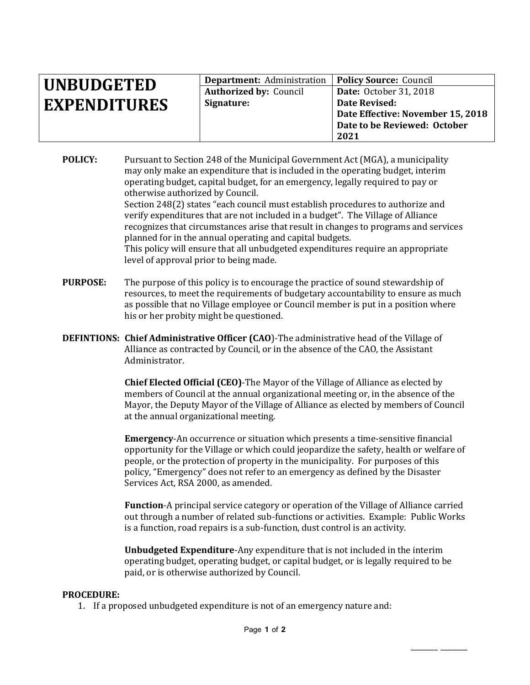| <b>UNBUDGETED</b>   | <b>Department:</b> Administration   <b>Policy Source:</b> Council |                                   |
|---------------------|-------------------------------------------------------------------|-----------------------------------|
|                     | <b>Authorized by: Council</b>                                     | <b>Date:</b> October 31, 2018     |
| <b>EXPENDITURES</b> | Signature:                                                        | Date Revised:                     |
|                     |                                                                   | Date Effective: November 15, 2018 |
|                     |                                                                   | Date to be Reviewed: October      |
|                     |                                                                   | 2021                              |

**POLICY:** Pursuant to Section 248 of the Municipal Government Act (MGA), a municipality may only make an expenditure that is included in the operating budget, interim operating budget, capital budget, for an emergency, legally required to pay or otherwise authorized by Council.

Section 248(2) states "each council must establish procedures to authorize and verify expenditures that are not included in a budget". The Village of Alliance recognizes that circumstances arise that result in changes to programs and services planned for in the annual operating and capital budgets.

This policy will ensure that all unbudgeted expenditures require an appropriate level of approval prior to being made.

- **PURPOSE:** The purpose of this policy is to encourage the practice of sound stewardship of resources, to meet the requirements of budgetary accountability to ensure as much as possible that no Village employee or Council member is put in a position where his or her probity might be questioned.
- **DEFINTIONS: Chief Administrative Officer (CAO**)-The administrative head of the Village of Alliance as contracted by Council, or in the absence of the CAO, the Assistant Administrator.

**Chief Elected Official (CEO)**-The Mayor of the Village of Alliance as elected by members of Council at the annual organizational meeting or, in the absence of the Mayor, the Deputy Mayor of the Village of Alliance as elected by members of Council at the annual organizational meeting.

**Emergency**-An occurrence or situation which presents a time-sensitive financial opportunity for the Village or which could jeopardize the safety, health or welfare of people, or the protection of property in the municipality. For purposes of this policy, "Emergency" does not refer to an emergency as defined by the Disaster Services Act, RSA 2000, as amended.

**Function**-A principal service category or operation of the Village of Alliance carried out through a number of related sub-functions or activities. Example: Public Works is a function, road repairs is a sub-function, dust control is an activity.

**Unbudgeted Expenditure**-Any expenditure that is not included in the interim operating budget, operating budget, or capital budget, or is legally required to be paid, or is otherwise authorized by Council.

\_\_\_\_\_\_\_ \_\_\_\_\_\_\_

## **PROCEDURE:**

1. If a proposed unbudgeted expenditure is not of an emergency nature and: